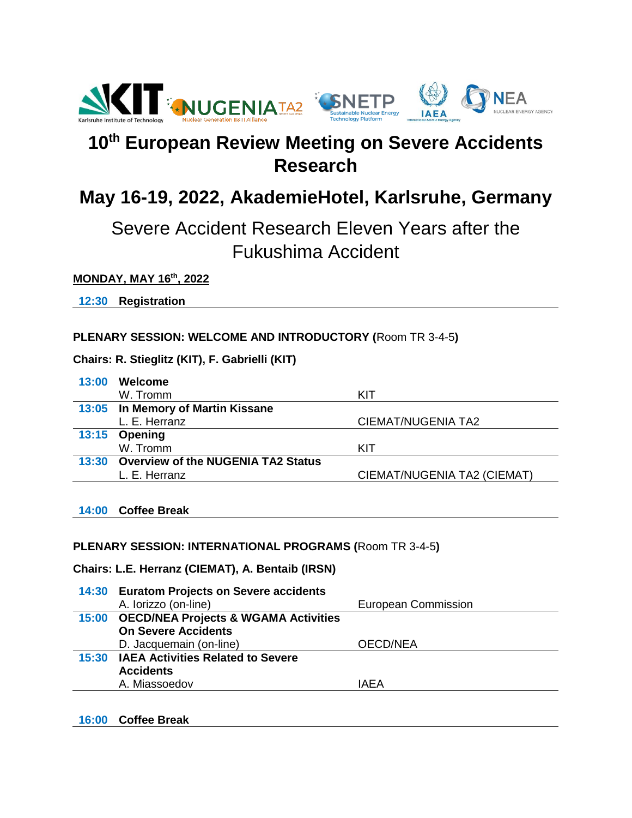

# **10th European Review Meeting on Severe Accidents Research**

# **May 16-19, 2022, AkademieHotel, Karlsruhe, Germany**

# Severe Accident Research Eleven Years after the Fukushima Accident

#### **MONDAY, MAY 16th, 2022**

**12:30 Registration**

#### **PLENARY SESSION: WELCOME AND INTRODUCTORY (**Room TR 3-4-5**)**

#### **Chairs: R. Stieglitz (KIT), F. Gabrielli (KIT)**

| 13:00 | Welcome                                  |                             |
|-------|------------------------------------------|-----------------------------|
|       | W. Tromm                                 | KIT                         |
|       | 13:05 In Memory of Martin Kissane        |                             |
|       | L. E. Herranz                            | CIEMAT/NUGENIA TA2          |
|       | 13:15 Opening                            |                             |
|       | W. Tromm                                 | KIT                         |
|       | 13:30 Overview of the NUGENIA TA2 Status |                             |
|       | L. E. Herranz                            | CIEMAT/NUGENIA TA2 (CIEMAT) |

#### **14:00 Coffee Break**

#### **PLENARY SESSION: INTERNATIONAL PROGRAMS (**Room TR 3-4-5**)**

#### **Chairs: L.E. Herranz (CIEMAT), A. Bentaib (IRSN)**

| 14:30 Euratom Projects on Severe accidents |                            |
|--------------------------------------------|----------------------------|
| A. lorizzo (on-line)                       | <b>European Commission</b> |
| 15:00 OECD/NEA Projects & WGAMA Activities |                            |
| <b>On Severe Accidents</b>                 |                            |
| D. Jacquemain (on-line)                    | OECD/NEA                   |
| 15:30 IAEA Activities Related to Severe    |                            |
| <b>Accidents</b>                           |                            |
| A. Miassoedov                              | IAEA                       |
|                                            |                            |

#### **16:00 Coffee Break**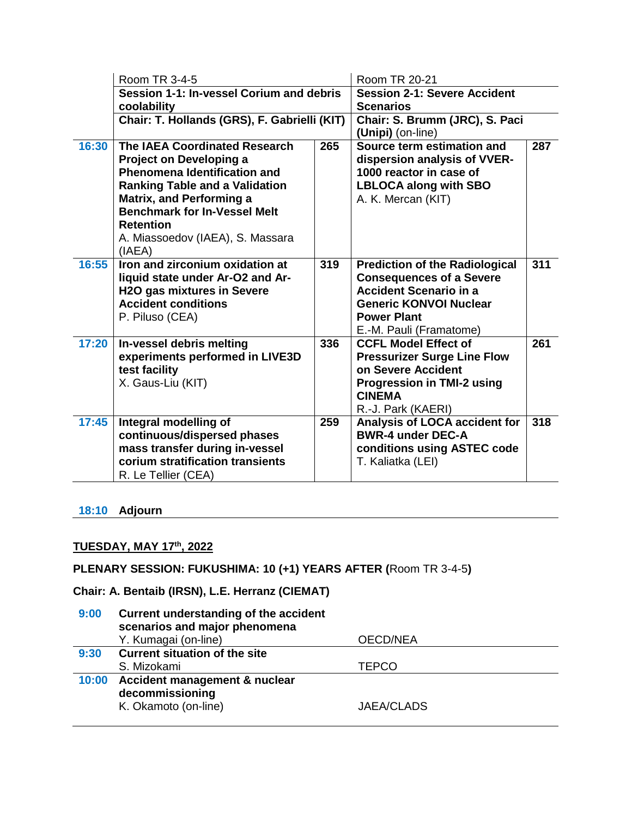|       | Room TR 3-4-5                                                                                                                                                                                                                                                                                      |     | Room TR 20-21                                                                                                                                                                               |     |
|-------|----------------------------------------------------------------------------------------------------------------------------------------------------------------------------------------------------------------------------------------------------------------------------------------------------|-----|---------------------------------------------------------------------------------------------------------------------------------------------------------------------------------------------|-----|
|       | Session 1-1: In-vessel Corium and debris                                                                                                                                                                                                                                                           |     | <b>Session 2-1: Severe Accident</b>                                                                                                                                                         |     |
|       | coolability                                                                                                                                                                                                                                                                                        |     | <b>Scenarios</b>                                                                                                                                                                            |     |
|       | Chair: T. Hollands (GRS), F. Gabrielli (KIT)                                                                                                                                                                                                                                                       |     | Chair: S. Brumm (JRC), S. Paci<br>(Unipi) (on-line)                                                                                                                                         |     |
| 16:30 | <b>The IAEA Coordinated Research</b><br><b>Project on Developing a</b><br><b>Phenomena Identification and</b><br><b>Ranking Table and a Validation</b><br><b>Matrix, and Performing a</b><br><b>Benchmark for In-Vessel Melt</b><br><b>Retention</b><br>A. Miassoedov (IAEA), S. Massara<br>(IAEA) | 265 | Source term estimation and<br>dispersion analysis of VVER-<br>1000 reactor in case of<br><b>LBLOCA along with SBO</b><br>A. K. Mercan (KIT)                                                 | 287 |
| 16:55 | Iron and zirconium oxidation at<br>liquid state under Ar-O2 and Ar-<br><b>H2O gas mixtures in Severe</b><br><b>Accident conditions</b><br>P. Piluso (CEA)                                                                                                                                          | 319 | <b>Prediction of the Radiological</b><br><b>Consequences of a Severe</b><br><b>Accident Scenario in a</b><br><b>Generic KONVOI Nuclear</b><br><b>Power Plant</b><br>E.-M. Pauli (Framatome) | 311 |
| 17:20 | In-vessel debris melting<br>experiments performed in LIVE3D<br>test facility<br>X. Gaus-Liu (KIT)                                                                                                                                                                                                  | 336 | <b>CCFL Model Effect of</b><br><b>Pressurizer Surge Line Flow</b><br>on Severe Accident<br><b>Progression in TMI-2 using</b><br><b>CINEMA</b><br>R.-J. Park (KAERI)                         | 261 |
| 17:45 | Integral modelling of<br>continuous/dispersed phases<br>mass transfer during in-vessel<br>corium stratification transients<br>R. Le Tellier (CEA)                                                                                                                                                  | 259 | Analysis of LOCA accident for<br><b>BWR-4 under DEC-A</b><br>conditions using ASTEC code<br>T. Kaliatka (LEI)                                                                               | 318 |

### **18:10 Adjourn**

## **TUESDAY, MAY 17th, 2022**

## **PLENARY SESSION: FUKUSHIMA: 10 (+1) YEARS AFTER (**Room TR 3-4-5**)**

## **Chair: A. Bentaib (IRSN), L.E. Herranz (CIEMAT)**

| 9:00 | Current understanding of the accident<br>scenarios and major phenomena         |                   |
|------|--------------------------------------------------------------------------------|-------------------|
|      | Y. Kumagai (on-line)                                                           | <b>OECD/NEA</b>   |
| 9:30 | <b>Current situation of the site</b>                                           |                   |
|      | S. Mizokami                                                                    | <b>TEPCO</b>      |
|      | 10:00 Accident management & nuclear<br>decommissioning<br>K. Okamoto (on-line) | <b>JAEA/CLADS</b> |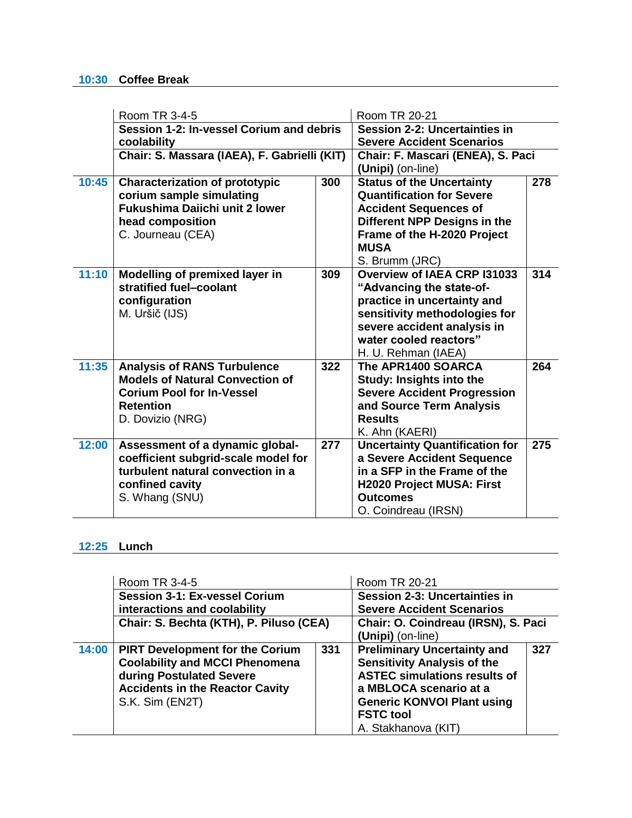#### **10:30 Coffee Break**

|       | Room TR 3-4-5                                           |     | Room TR 20-21                         |     |
|-------|---------------------------------------------------------|-----|---------------------------------------|-----|
|       | Session 1-2: In-vessel Corium and debris<br>coolability |     | <b>Session 2-2: Uncertainties in</b>  |     |
|       |                                                         |     | <b>Severe Accident Scenarios</b>      |     |
|       | Chair: S. Massara (IAEA), F. Gabrielli (KIT)            |     | Chair: F. Mascari (ENEA), S. Paci     |     |
|       |                                                         |     | (Unipi) (on-line)                     |     |
| 10:45 | <b>Characterization of prototypic</b>                   | 300 | <b>Status of the Uncertainty</b>      | 278 |
|       | corium sample simulating                                |     | <b>Quantification for Severe</b>      |     |
|       | Fukushima Daiichi unit 2 lower                          |     | <b>Accident Sequences of</b>          |     |
|       | head composition                                        |     | Different NPP Designs in the          |     |
|       | C. Journeau (CEA)                                       |     | Frame of the H-2020 Project           |     |
|       |                                                         |     | <b>MUSA</b>                           |     |
|       |                                                         |     | S. Brumm (JRC)                        |     |
| 11:10 | Modelling of premixed layer in                          | 309 | <b>Overview of IAEA CRP I31033</b>    | 314 |
|       | stratified fuel-coolant                                 |     | "Advancing the state-of-              |     |
|       | configuration                                           |     | practice in uncertainty and           |     |
|       | M. Uršič (IJS)                                          |     | sensitivity methodologies for         |     |
|       |                                                         |     | severe accident analysis in           |     |
|       |                                                         |     | water cooled reactors"                |     |
|       |                                                         |     | H. U. Rehman (IAEA)                   |     |
| 11:35 | <b>Analysis of RANS Turbulence</b>                      | 322 | The APR1400 SOARCA                    | 264 |
|       | <b>Models of Natural Convection of</b>                  |     | Study: Insights into the              |     |
|       | <b>Corium Pool for In-Vessel</b>                        |     | <b>Severe Accident Progression</b>    |     |
|       | <b>Retention</b>                                        |     | and Source Term Analysis              |     |
|       | D. Dovizio (NRG)                                        |     | <b>Results</b>                        |     |
|       |                                                         |     | K. Ahn (KAERI)                        |     |
| 12:00 | Assessment of a dynamic global-                         | 277 | <b>Uncertainty Quantification for</b> | 275 |
|       | coefficient subgrid-scale model for                     |     | a Severe Accident Sequence            |     |
|       | turbulent natural convection in a                       |     | in a SFP in the Frame of the          |     |
|       | confined cavity                                         |     | H2020 Project MUSA: First             |     |
|       | S. Whang (SNU)                                          |     | <b>Outcomes</b>                       |     |
|       |                                                         |     | O. Coindreau (IRSN)                   |     |

## **12:25 Lunch**

|       | Room TR 3-4-5<br><b>Session 3-1: Ex-vessel Corium</b>                                                                                                                    |     | Room TR 20-21<br><b>Session 2-3: Uncertainties in</b>                                                                                                                                                                     |     |
|-------|--------------------------------------------------------------------------------------------------------------------------------------------------------------------------|-----|---------------------------------------------------------------------------------------------------------------------------------------------------------------------------------------------------------------------------|-----|
|       |                                                                                                                                                                          |     |                                                                                                                                                                                                                           |     |
|       | interactions and coolability                                                                                                                                             |     | <b>Severe Accident Scenarios</b>                                                                                                                                                                                          |     |
|       | Chair: S. Bechta (KTH), P. Piluso (CEA)                                                                                                                                  |     | Chair: O. Coindreau (IRSN), S. Paci                                                                                                                                                                                       |     |
|       |                                                                                                                                                                          |     | (Unipi) (on-line)                                                                                                                                                                                                         |     |
| 14:00 | <b>PIRT Development for the Corium</b><br><b>Coolability and MCCI Phenomena</b><br>during Postulated Severe<br><b>Accidents in the Reactor Cavity</b><br>S.K. Sim (EN2T) | 331 | <b>Preliminary Uncertainty and</b><br><b>Sensitivity Analysis of the</b><br><b>ASTEC simulations results of</b><br>a MBLOCA scenario at a<br><b>Generic KONVOI Plant using</b><br><b>FSTC tool</b><br>A. Stakhanova (KIT) | 327 |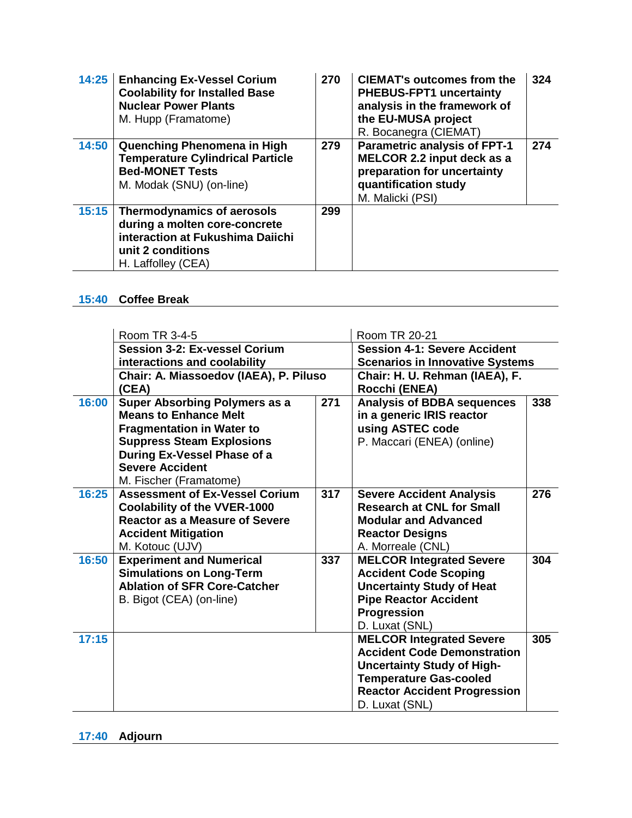| 14:25 | <b>Enhancing Ex-Vessel Corium</b><br><b>Coolability for Installed Base</b><br><b>Nuclear Power Plants</b><br>M. Hupp (Framatome)           | 270 | <b>CIEMAT's outcomes from the</b><br><b>PHEBUS-FPT1 uncertainty</b><br>analysis in the framework of<br>the EU-MUSA project<br>R. Bocanegra (CIEMAT) | 324 |
|-------|--------------------------------------------------------------------------------------------------------------------------------------------|-----|-----------------------------------------------------------------------------------------------------------------------------------------------------|-----|
| 14:50 | Quenching Phenomena in High<br><b>Temperature Cylindrical Particle</b><br><b>Bed-MONET Tests</b><br>M. Modak (SNU) (on-line)               | 279 | <b>Parametric analysis of FPT-1</b><br>MELCOR 2.2 input deck as a<br>preparation for uncertainty<br>quantification study<br>M. Malicki (PSI)        | 274 |
| 15:15 | Thermodynamics of aerosols<br>during a molten core-concrete<br>interaction at Fukushima Daiichi<br>unit 2 conditions<br>H. Laffolley (CEA) | 299 |                                                                                                                                                     |     |

## **15:40 Coffee Break**

|       | Room TR 3-4-5                          |     | Room TR 20-21                          |     |
|-------|----------------------------------------|-----|----------------------------------------|-----|
|       | <b>Session 3-2: Ex-vessel Corium</b>   |     | <b>Session 4-1: Severe Accident</b>    |     |
|       | interactions and coolability           |     | <b>Scenarios in Innovative Systems</b> |     |
|       | Chair: A. Miassoedov (IAEA), P. Piluso |     | Chair: H. U. Rehman (IAEA), F.         |     |
|       | (CEA)                                  |     | Rocchi (ENEA)                          |     |
| 16:00 | Super Absorbing Polymers as a          | 271 | <b>Analysis of BDBA sequences</b>      | 338 |
|       | <b>Means to Enhance Melt</b>           |     | in a generic IRIS reactor              |     |
|       | <b>Fragmentation in Water to</b>       |     | using ASTEC code                       |     |
|       | <b>Suppress Steam Explosions</b>       |     | P. Maccari (ENEA) (online)             |     |
|       | During Ex-Vessel Phase of a            |     |                                        |     |
|       | <b>Severe Accident</b>                 |     |                                        |     |
|       | M. Fischer (Framatome)                 |     |                                        |     |
| 16:25 | <b>Assessment of Ex-Vessel Corium</b>  | 317 | <b>Severe Accident Analysis</b>        | 276 |
|       | <b>Coolability of the VVER-1000</b>    |     | <b>Research at CNL for Small</b>       |     |
|       | <b>Reactor as a Measure of Severe</b>  |     | <b>Modular and Advanced</b>            |     |
|       | <b>Accident Mitigation</b>             |     | <b>Reactor Designs</b>                 |     |
|       | M. Kotouc (UJV)                        |     | A. Morreale (CNL)                      |     |
| 16:50 | <b>Experiment and Numerical</b>        | 337 | <b>MELCOR Integrated Severe</b>        | 304 |
|       | <b>Simulations on Long-Term</b>        |     | <b>Accident Code Scoping</b>           |     |
|       | <b>Ablation of SFR Core-Catcher</b>    |     | <b>Uncertainty Study of Heat</b>       |     |
|       | B. Bigot (CEA) (on-line)               |     | <b>Pipe Reactor Accident</b>           |     |
|       |                                        |     | Progression                            |     |
|       |                                        |     | D. Luxat (SNL)                         |     |
| 17:15 |                                        |     | <b>MELCOR Integrated Severe</b>        | 305 |
|       |                                        |     | <b>Accident Code Demonstration</b>     |     |
|       |                                        |     | <b>Uncertainty Study of High-</b>      |     |
|       |                                        |     | <b>Temperature Gas-cooled</b>          |     |
|       |                                        |     | <b>Reactor Accident Progression</b>    |     |
|       |                                        |     | D. Luxat (SNL)                         |     |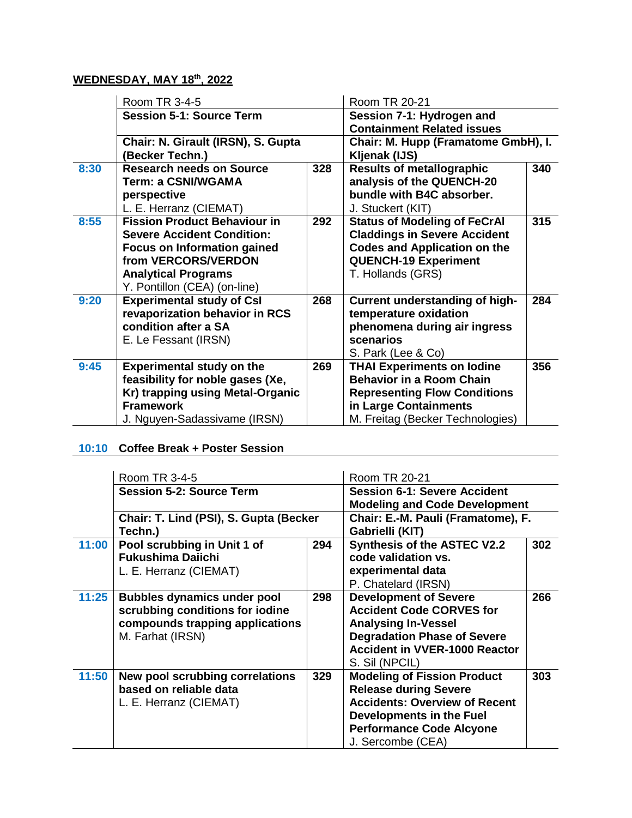## **WEDNESDAY, MAY 18th, 2022**

|      | Room TR 3-4-5                       |     | Room TR 20-21                       |     |
|------|-------------------------------------|-----|-------------------------------------|-----|
|      | <b>Session 5-1: Source Term</b>     |     | Session 7-1: Hydrogen and           |     |
|      |                                     |     | <b>Containment Related issues</b>   |     |
|      | Chair: N. Girault (IRSN), S. Gupta  |     | Chair: M. Hupp (Framatome GmbH), I. |     |
|      | (Becker Techn.)                     |     | Kljenak (IJS)                       |     |
| 8:30 | <b>Research needs on Source</b>     | 328 | <b>Results of metallographic</b>    | 340 |
|      | Term: a CSNI/WGAMA                  |     | analysis of the QUENCH-20           |     |
|      | perspective                         |     | bundle with B4C absorber.           |     |
|      | L. E. Herranz (CIEMAT)              |     | J. Stuckert (KIT)                   |     |
| 8:55 | <b>Fission Product Behaviour in</b> | 292 | <b>Status of Modeling of FeCrAl</b> | 315 |
|      | <b>Severe Accident Condition:</b>   |     | <b>Claddings in Severe Accident</b> |     |
|      | <b>Focus on Information gained</b>  |     | <b>Codes and Application on the</b> |     |
|      | from VERCORS/VERDON                 |     | <b>QUENCH-19 Experiment</b>         |     |
|      | <b>Analytical Programs</b>          |     | T. Hollands (GRS)                   |     |
|      | Y. Pontillon (CEA) (on-line)        |     |                                     |     |
| 9:20 | <b>Experimental study of Csl</b>    | 268 | Current understanding of high-      | 284 |
|      | revaporization behavior in RCS      |     | temperature oxidation               |     |
|      | condition after a SA                |     | phenomena during air ingress        |     |
|      | E. Le Fessant (IRSN)                |     | scenarios                           |     |
|      |                                     |     | S. Park (Lee & Co)                  |     |
| 9:45 | <b>Experimental study on the</b>    | 269 | <b>THAI Experiments on lodine</b>   | 356 |
|      | feasibility for noble gases (Xe,    |     | <b>Behavior in a Room Chain</b>     |     |
|      | Kr) trapping using Metal-Organic    |     | <b>Representing Flow Conditions</b> |     |
|      | <b>Framework</b>                    |     | in Large Containments               |     |
|      | J. Nguyen-Sadassivame (IRSN)        |     | M. Freitag (Becker Technologies)    |     |

## **10:10 Coffee Break + Poster Session**

|       | Room TR 3-4-5                                                                                                                |     | Room TR 20-21                                                                                                                                                                                         |     |
|-------|------------------------------------------------------------------------------------------------------------------------------|-----|-------------------------------------------------------------------------------------------------------------------------------------------------------------------------------------------------------|-----|
|       | <b>Session 5-2: Source Term</b>                                                                                              |     | <b>Session 6-1: Severe Accident</b>                                                                                                                                                                   |     |
|       |                                                                                                                              |     | <b>Modeling and Code Development</b>                                                                                                                                                                  |     |
|       | Chair: T. Lind (PSI), S. Gupta (Becker<br>Techn.)                                                                            |     | Chair: E.-M. Pauli (Framatome), F.<br>Gabrielli (KIT)                                                                                                                                                 |     |
| 11:00 | Pool scrubbing in Unit 1 of<br><b>Fukushima Daiichi</b><br>L. E. Herranz (CIEMAT)                                            | 294 | <b>Synthesis of the ASTEC V2.2</b><br>code validation vs.<br>experimental data<br>P. Chatelard (IRSN)                                                                                                 | 302 |
| 11:25 | <b>Bubbles dynamics under pool</b><br>scrubbing conditions for iodine<br>compounds trapping applications<br>M. Farhat (IRSN) | 298 | <b>Development of Severe</b><br><b>Accident Code CORVES for</b><br><b>Analysing In-Vessel</b><br><b>Degradation Phase of Severe</b><br><b>Accident in VVER-1000 Reactor</b><br>S. Sil (NPCIL)         | 266 |
| 11:50 | New pool scrubbing correlations<br>based on reliable data<br>L. E. Herranz (CIEMAT)                                          | 329 | <b>Modeling of Fission Product</b><br><b>Release during Severe</b><br><b>Accidents: Overview of Recent</b><br><b>Developments in the Fuel</b><br><b>Performance Code Alcyone</b><br>J. Sercombe (CEA) | 303 |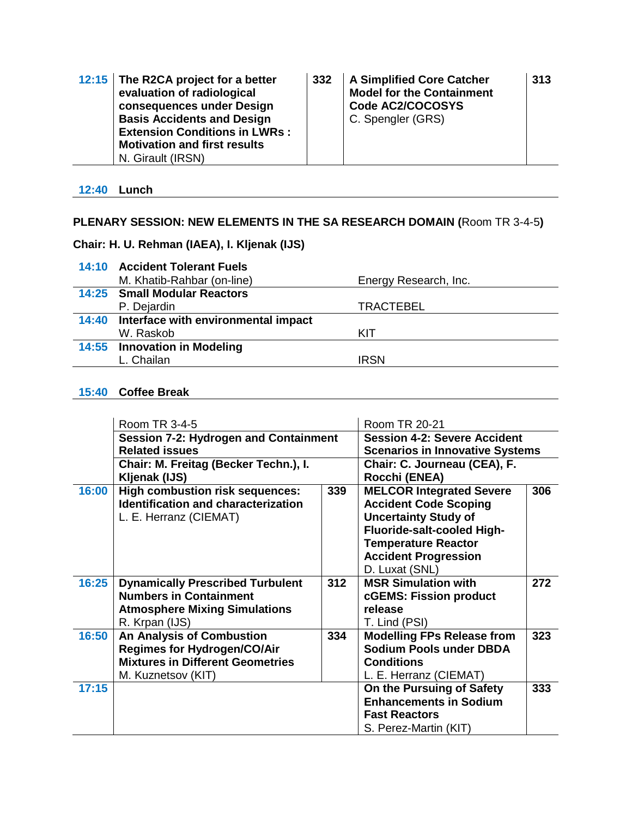| 12:15 The R2CA project for a better<br>evaluation of radiological<br>consequences under Design<br><b>Basis Accidents and Design</b><br><b>Extension Conditions in LWRs:</b> | 332 | <b>A Simplified Core Catcher</b><br><b>Model for the Containment</b><br>Code AC2/COCOSYS<br>C. Spengler (GRS) | 313 |
|-----------------------------------------------------------------------------------------------------------------------------------------------------------------------------|-----|---------------------------------------------------------------------------------------------------------------|-----|
| <b>Motivation and first results</b>                                                                                                                                         |     |                                                                                                               |     |
| N. Girault (IRSN)                                                                                                                                                           |     |                                                                                                               |     |

**12:40 Lunch**

## **PLENARY SESSION: NEW ELEMENTS IN THE SA RESEARCH DOMAIN (**Room TR 3-4-5**)**

#### **Chair: H. U. Rehman (IAEA), I. Kljenak (IJS)**

| 14:10 Accident Tolerant Fuels             |                       |
|-------------------------------------------|-----------------------|
| M. Khatib-Rahbar (on-line)                | Energy Research, Inc. |
| 14:25 Small Modular Reactors              |                       |
| P. Dejardin                               | <b>TRACTEBEL</b>      |
| 14:40 Interface with environmental impact |                       |
| W. Raskob                                 | KIT                   |
| 14:55 Innovation in Modeling              |                       |
| L. Chailan                                | <b>IRSN</b>           |

#### **15:40 Coffee Break**

|       | Room TR 3-4-5                                |     | Room TR 20-21                          |     |
|-------|----------------------------------------------|-----|----------------------------------------|-----|
|       | <b>Session 7-2: Hydrogen and Containment</b> |     | <b>Session 4-2: Severe Accident</b>    |     |
|       | <b>Related issues</b>                        |     | <b>Scenarios in Innovative Systems</b> |     |
|       | Chair: M. Freitag (Becker Techn.), I.        |     | Chair: C. Journeau (CEA), F.           |     |
|       | Kljenak (IJS)                                |     | Rocchi (ENEA)                          |     |
| 16:00 | <b>High combustion risk sequences:</b>       | 339 | <b>MELCOR Integrated Severe</b>        | 306 |
|       | <b>Identification and characterization</b>   |     | <b>Accident Code Scoping</b>           |     |
|       | L. E. Herranz (CIEMAT)                       |     | <b>Uncertainty Study of</b>            |     |
|       |                                              |     | Fluoride-salt-cooled High-             |     |
|       |                                              |     | <b>Temperature Reactor</b>             |     |
|       |                                              |     | <b>Accident Progression</b>            |     |
|       |                                              |     | D. Luxat (SNL)                         |     |
| 16:25 | <b>Dynamically Prescribed Turbulent</b>      | 312 | <b>MSR Simulation with</b>             | 272 |
|       | <b>Numbers in Containment</b>                |     | <b>cGEMS: Fission product</b>          |     |
|       | <b>Atmosphere Mixing Simulations</b>         |     | release                                |     |
|       | R. Krpan (IJS)                               |     | T. Lind (PSI)                          |     |
| 16:50 | <b>An Analysis of Combustion</b>             | 334 | <b>Modelling FPs Release from</b>      | 323 |
|       | <b>Regimes for Hydrogen/CO/Air</b>           |     | <b>Sodium Pools under DBDA</b>         |     |
|       | <b>Mixtures in Different Geometries</b>      |     | <b>Conditions</b>                      |     |
|       | M. Kuznetsov (KIT)                           |     | L. E. Herranz (CIEMAT)                 |     |
| 17:15 |                                              |     | On the Pursuing of Safety              | 333 |
|       |                                              |     | <b>Enhancements in Sodium</b>          |     |
|       |                                              |     | <b>Fast Reactors</b>                   |     |
|       |                                              |     | S. Perez-Martin (KIT)                  |     |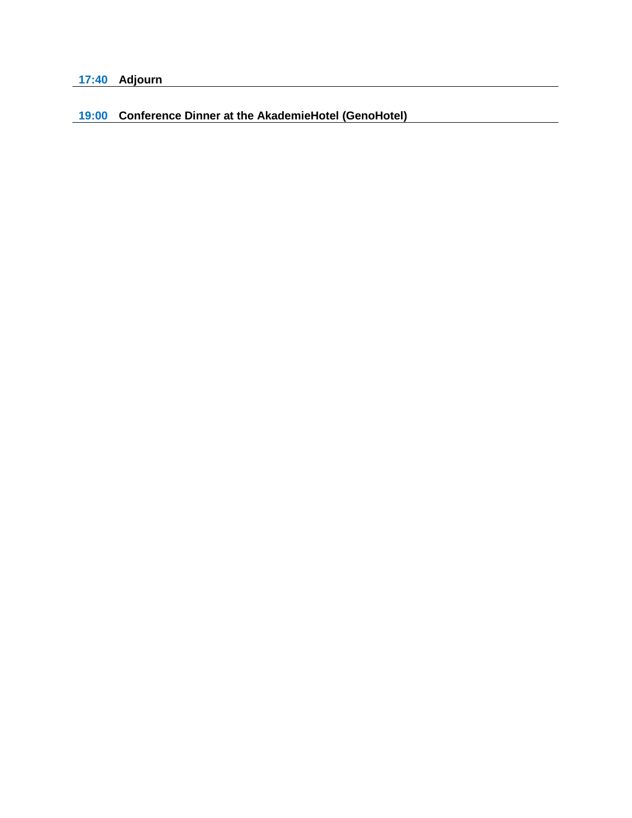## **19:00 Conference Dinner at the AkademieHotel (GenoHotel)**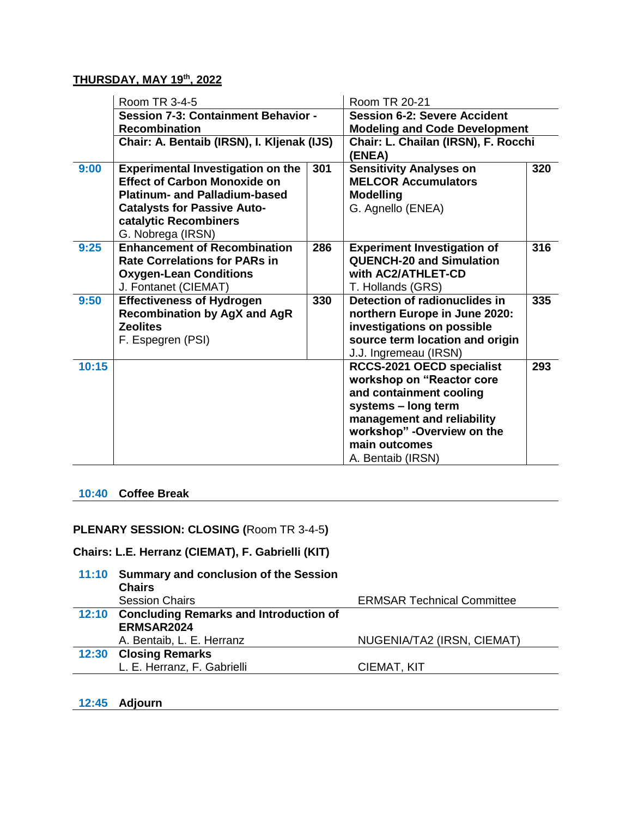#### **THURSDAY, MAY 19th, 2022**

|       | Room TR 3-4-5                              |     | Room TR 20-21                        |     |
|-------|--------------------------------------------|-----|--------------------------------------|-----|
|       | <b>Session 7-3: Containment Behavior -</b> |     | <b>Session 6-2: Severe Accident</b>  |     |
|       | <b>Recombination</b>                       |     | <b>Modeling and Code Development</b> |     |
|       | Chair: A. Bentaib (IRSN), I. Kljenak (IJS) |     | Chair: L. Chailan (IRSN), F. Rocchi  |     |
|       |                                            |     | (ENEA)                               |     |
| 9:00  | <b>Experimental Investigation on the</b>   | 301 | <b>Sensitivity Analyses on</b>       | 320 |
|       | <b>Effect of Carbon Monoxide on</b>        |     | <b>MELCOR Accumulators</b>           |     |
|       | <b>Platinum- and Palladium-based</b>       |     | <b>Modelling</b>                     |     |
|       | <b>Catalysts for Passive Auto-</b>         |     | G. Agnello (ENEA)                    |     |
|       | catalytic Recombiners                      |     |                                      |     |
|       | G. Nobrega (IRSN)                          |     |                                      |     |
| 9:25  | <b>Enhancement of Recombination</b>        | 286 | <b>Experiment Investigation of</b>   | 316 |
|       | <b>Rate Correlations for PARs in</b>       |     | <b>QUENCH-20 and Simulation</b>      |     |
|       | <b>Oxygen-Lean Conditions</b>              |     | with AC2/ATHLET-CD                   |     |
|       | J. Fontanet (CIEMAT)                       |     | T. Hollands (GRS)                    |     |
| 9:50  | <b>Effectiveness of Hydrogen</b>           | 330 | Detection of radionuclides in        | 335 |
|       | <b>Recombination by AgX and AgR</b>        |     | northern Europe in June 2020:        |     |
|       | <b>Zeolites</b>                            |     | investigations on possible           |     |
|       | F. Espegren (PSI)                          |     | source term location and origin      |     |
|       |                                            |     | J.J. Ingremeau (IRSN)                |     |
| 10:15 |                                            |     | RCCS-2021 OECD specialist            | 293 |
|       |                                            |     | workshop on "Reactor core            |     |
|       |                                            |     | and containment cooling              |     |
|       |                                            |     | systems - long term                  |     |
|       |                                            |     | management and reliability           |     |
|       |                                            |     | workshop" - Overview on the          |     |
|       |                                            |     | main outcomes                        |     |
|       |                                            |     | A. Bentaib (IRSN)                    |     |

#### **10:40 Coffee Break**

## **PLENARY SESSION: CLOSING (**Room TR 3-4-5**)**

## **Chairs: L.E. Herranz (CIEMAT), F. Gabrielli (KIT)**

|       | 11:10 Summary and conclusion of the Session<br><b>Chairs</b> |                                   |
|-------|--------------------------------------------------------------|-----------------------------------|
|       | <b>Session Chairs</b>                                        | <b>ERMSAR Technical Committee</b> |
| 12:10 | <b>Concluding Remarks and Introduction of</b>                |                                   |
|       | ERMSAR2024                                                   |                                   |
|       | A. Bentaib, L. E. Herranz                                    | NUGENIA/TA2 (IRSN, CIEMAT)        |
|       | 12:30 Closing Remarks                                        |                                   |
|       | L. E. Herranz, F. Gabrielli                                  | CIEMAT, KIT                       |

### **12:45 Adjourn**